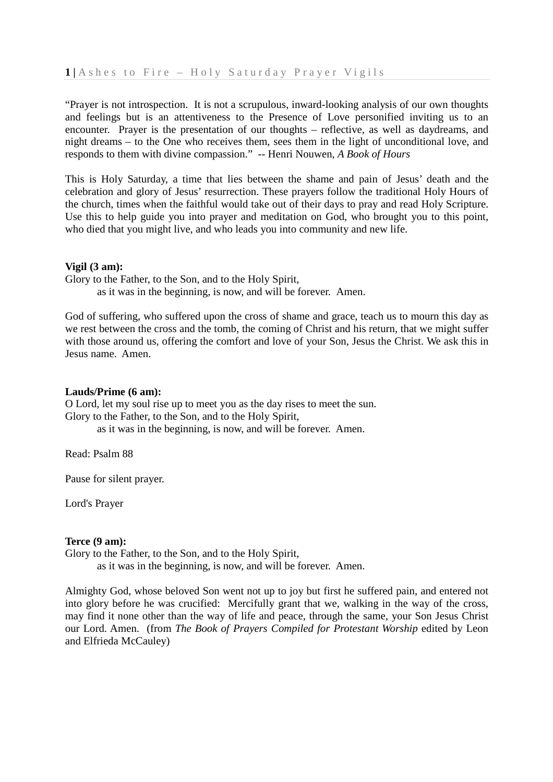"Prayer is not introspection. It is not a scrupulous, inward-looking analysis of our own thoughts and feelings but is an attentiveness to the Presence of Love personified inviting us to an encounter. Prayer is the presentation of our thoughts – reflective, as well as daydreams, and night dreams – to the One who receives them, sees them in the light of unconditional love, and responds to them with divine compassion." -- Henri Nouwen, *A Book of Hours* 

This is Holy Saturday, a time that lies between the shame and pain of Jesus' death and the celebration and glory of Jesus' resurrection. These prayers follow the traditional Holy Hours of the church, times when the faithful would take out of their days to pray and read Holy Scripture. Use this to help guide you into prayer and meditation on God, who brought you to this point, who died that you might live, and who leads you into community and new life.

# **Vigil (3 am):**

Glory to the Father, to the Son, and to the Holy Spirit,

as it was in the beginning, is now, and will be forever.Amen.

God of suffering, who suffered upon the cross of shame and grace, teach us to mourn this day as we rest between the cross and the tomb, the coming of Christ and his return, that we might suffer with those around us, offering the comfort and love of your Son, Jesus the Christ. We ask this in Jesus name. Amen.

### **Lauds/Prime (6 am):**

O Lord, let my soul rise up to meet you as the day rises to meet the sun. Glory to the Father, to the Son, and to the Holy Spirit,

as it was in the beginning, is now, and will be forever. Amen.

Read: Psalm 88

Pause for silent prayer.

Lord's Prayer

# **Terce (9 am):**

Glory to the Father, to the Son, and to the Holy Spirit,

as it was in the beginning, is now, and will be forever. Amen.

Almighty God, whose beloved Son went not up to joy but first he suffered pain, and entered not into glory before he was crucified: Mercifully grant that we, walking in the way of the cross, may find it none other than the way of life and peace, through the same, your Son Jesus Christ our Lord. Amen. (from *The Book of Prayers Compiled for Protestant Worship* edited by Leon and Elfrieda McCauley)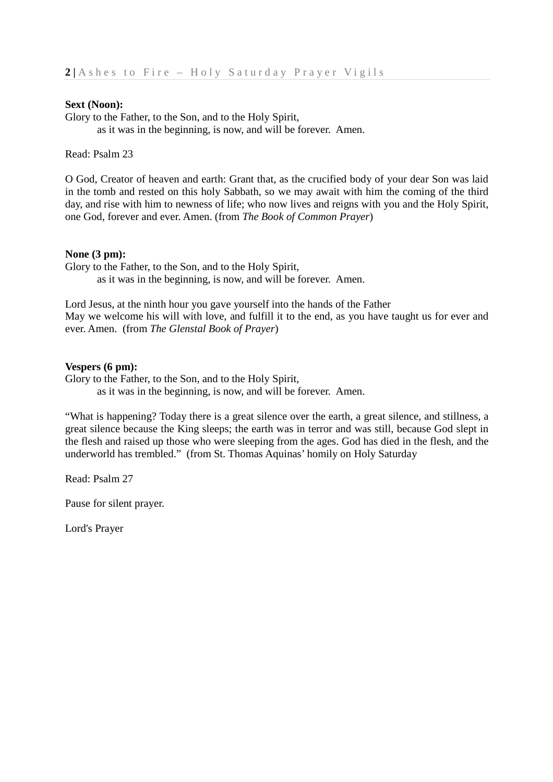### **Sext (Noon):**

Glory to the Father, to the Son, and to the Holy Spirit, as it was in the beginning, is now, and will be forever. Amen.

Read: Psalm 23

O God, Creator of heaven and earth: Grant that, as the crucified body of your dear Son was laid in the tomb and rested on this holy Sabbath, so we may await with him the coming of the third day, and rise with him to newness of life; who now lives and reigns with you and the Holy Spirit, one God, forever and ever. Amen. (from *The Book of Common Prayer*)

#### **None (3 pm):**

Glory to the Father, to the Son, and to the Holy Spirit, as it was in the beginning, is now, and will be forever. Amen.

Lord Jesus, at the ninth hour you gave yourself into the hands of the Father May we welcome his will with love, and fulfill it to the end, as you have taught us for ever and ever. Amen. (from *The Glenstal Book of Prayer*)

### **Vespers (6 pm):**

Glory to the Father, to the Son, and to the Holy Spirit,

as it was in the beginning, is now, and will be forever. Amen.

"What is happening? Today there is a great silence over the earth, a great silence, and stillness, a great silence because the King sleeps; the earth was in terror and was still, because God slept in the flesh and raised up those who were sleeping from the ages. God has died in the flesh, and the underworld has trembled." (from St. Thomas Aquinas' homily on Holy Saturday

Read: Psalm 27

Pause for silent prayer.

Lord's Prayer